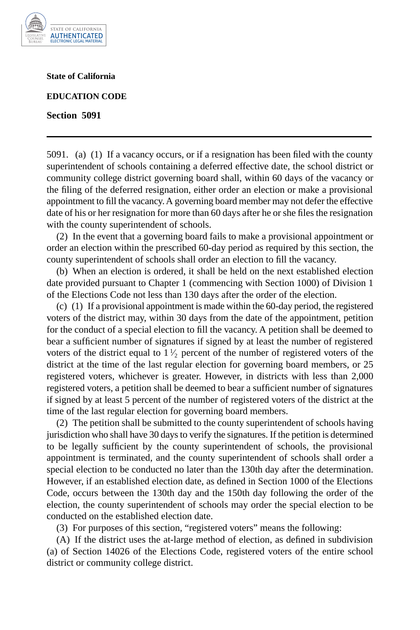

**State of California**

**EDUCATION CODE**

**Section 5091**

5091. (a) (1) If a vacancy occurs, or if a resignation has been filed with the county superintendent of schools containing a deferred effective date, the school district or community college district governing board shall, within 60 days of the vacancy or the filing of the deferred resignation, either order an election or make a provisional appointment to fill the vacancy. A governing board member may not defer the effective date of his or her resignation for more than 60 days after he or she files the resignation with the county superintendent of schools.

(2) In the event that a governing board fails to make a provisional appointment or order an election within the prescribed 60-day period as required by this section, the county superintendent of schools shall order an election to fill the vacancy.

(b) When an election is ordered, it shall be held on the next established election date provided pursuant to Chapter 1 (commencing with Section 1000) of Division 1 of the Elections Code not less than 130 days after the order of the election.

(c) (1) If a provisional appointment is made within the 60-day period, the registered voters of the district may, within 30 days from the date of the appointment, petition for the conduct of a special election to fill the vacancy. A petition shall be deemed to bear a sufficient number of signatures if signed by at least the number of registered voters of the district equal to  $1\frac{1}{2}$  percent of the number of registered voters of the district at the time of the last regular election for governing board members, or 25 registered voters, whichever is greater. However, in districts with less than 2,000 registered voters, a petition shall be deemed to bear a sufficient number of signatures if signed by at least 5 percent of the number of registered voters of the district at the time of the last regular election for governing board members.

(2) The petition shall be submitted to the county superintendent of schools having jurisdiction who shall have 30 days to verify the signatures. If the petition is determined to be legally sufficient by the county superintendent of schools, the provisional appointment is terminated, and the county superintendent of schools shall order a special election to be conducted no later than the 130th day after the determination. However, if an established election date, as defined in Section 1000 of the Elections Code, occurs between the 130th day and the 150th day following the order of the election, the county superintendent of schools may order the special election to be conducted on the established election date.

(3) For purposes of this section, "registered voters" means the following:

(A) If the district uses the at-large method of election, as defined in subdivision (a) of Section 14026 of the Elections Code, registered voters of the entire school district or community college district.